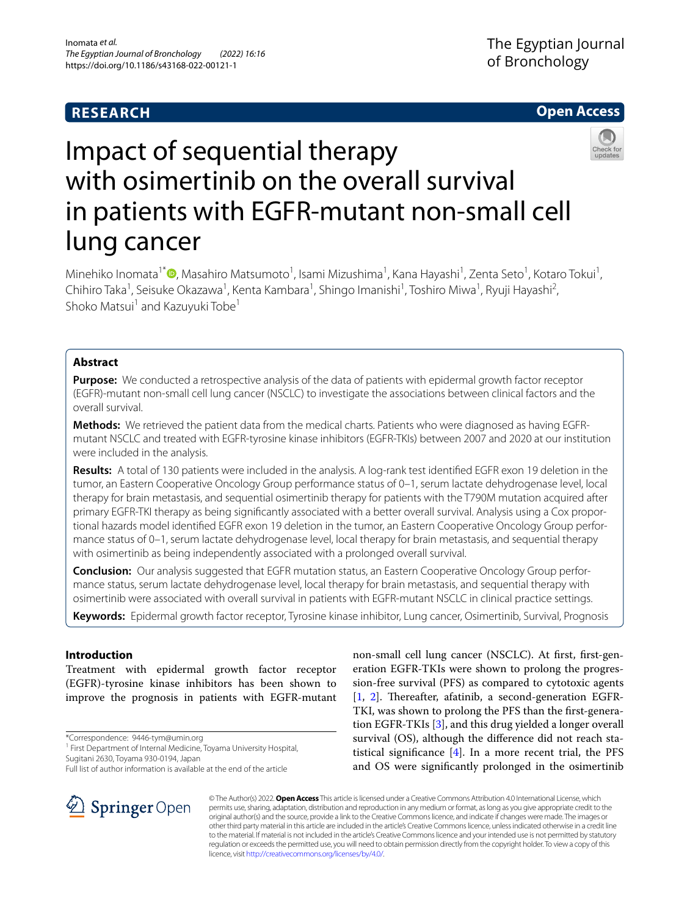# **RESEARCH**

# **Open Access**



# Impact of sequential therapy with osimertinib on the overall survival in patients with EGFR-mutant non-small cell lung cancer

Minehiko Inomata<sup>1[\\*](http://orcid.org/0000-0002-6846-187X)</sup> (**D**, Masahiro Matsumoto<sup>1</sup>, Isami Mizushima<sup>1</sup>, Kana Hayashi<sup>1</sup>, Zenta Seto<sup>1</sup>, Kotaro Tokui<sup>1</sup>, Chihiro Taka<sup>1</sup>, Seisuke Okazawa<sup>1</sup>, Kenta Kambara<sup>1</sup>, Shingo Imanishi<sup>1</sup>, Toshiro Miwa<sup>1</sup>, Ryuji Hayashi<sup>2</sup>, Shoko Matsui<sup>1</sup> and Kazuyuki Tobe<sup>1</sup>

# **Abstract**

**Purpose:** We conducted a retrospective analysis of the data of patients with epidermal growth factor receptor (EGFR)-mutant non-small cell lung cancer (NSCLC) to investigate the associations between clinical factors and the overall survival.

**Methods:** We retrieved the patient data from the medical charts. Patients who were diagnosed as having EGFRmutant NSCLC and treated with EGFR-tyrosine kinase inhibitors (EGFR-TKIs) between 2007 and 2020 at our institution were included in the analysis.

**Results:** A total of 130 patients were included in the analysis. A log-rank test identifed EGFR exon 19 deletion in the tumor, an Eastern Cooperative Oncology Group performance status of 0–1, serum lactate dehydrogenase level, local therapy for brain metastasis, and sequential osimertinib therapy for patients with the T790M mutation acquired after primary EGFR-TKI therapy as being signifcantly associated with a better overall survival. Analysis using a Cox proportional hazards model identifed EGFR exon 19 deletion in the tumor, an Eastern Cooperative Oncology Group performance status of 0–1, serum lactate dehydrogenase level, local therapy for brain metastasis, and sequential therapy with osimertinib as being independently associated with a prolonged overall survival.

**Conclusion:** Our analysis suggested that EGFR mutation status, an Eastern Cooperative Oncology Group performance status, serum lactate dehydrogenase level, local therapy for brain metastasis, and sequential therapy with osimertinib were associated with overall survival in patients with EGFR-mutant NSCLC in clinical practice settings.

**Keywords:** Epidermal growth factor receptor, Tyrosine kinase inhibitor, Lung cancer, Osimertinib, Survival, Prognosis

# **Introduction**

Treatment with epidermal growth factor receptor (EGFR)-tyrosine kinase inhibitors has been shown to improve the prognosis in patients with EGFR-mutant

\*Correspondence: 9446-tym@umin.org

SpringerOpen

<sup>1</sup> First Department of Internal Medicine, Toyama University Hospital, Sugitani 2630, Toyama 930-0194, Japan

Full list of author information is available at the end of the article



© The Author(s) 2022. **Open Access** This article is licensed under a Creative Commons Attribution 4.0 International License, which permits use, sharing, adaptation, distribution and reproduction in any medium or format, as long as you give appropriate credit to the original author(s) and the source, provide a link to the Creative Commons licence, and indicate if changes were made. The images or other third party material in this article are included in the article's Creative Commons licence, unless indicated otherwise in a credit line to the material. If material is not included in the article's Creative Commons licence and your intended use is not permitted by statutory regulation or exceeds the permitted use, you will need to obtain permission directly from the copyright holder. To view a copy of this licence, visit [http://creativecommons.org/licenses/by/4.0/.](http://creativecommons.org/licenses/by/4.0/)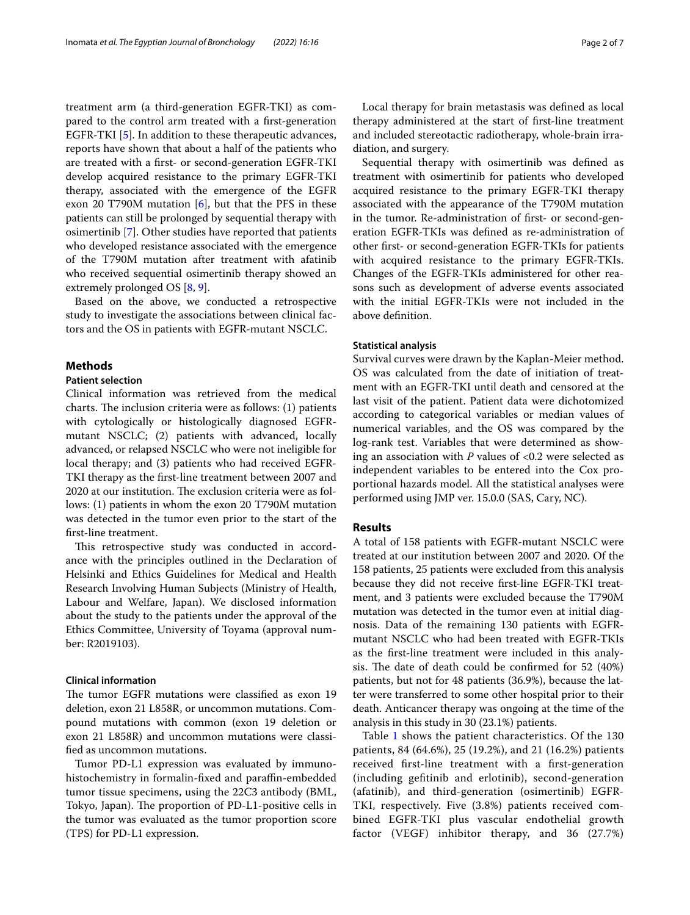treatment arm (a third-generation EGFR-TKI) as compared to the control arm treated with a frst-generation EGFR-TKI [\[5](#page-5-4)]. In addition to these therapeutic advances, reports have shown that about a half of the patients who are treated with a frst- or second-generation EGFR-TKI develop acquired resistance to the primary EGFR-TKI therapy, associated with the emergence of the EGFR exon 20 T790M mutation  $[6]$  $[6]$ , but that the PFS in these patients can still be prolonged by sequential therapy with osimertinib [[7](#page-5-6)]. Other studies have reported that patients who developed resistance associated with the emergence of the T790M mutation after treatment with afatinib who received sequential osimertinib therapy showed an extremely prolonged OS [[8](#page-5-7), [9\]](#page-5-8).

Based on the above, we conducted a retrospective study to investigate the associations between clinical factors and the OS in patients with EGFR-mutant NSCLC.

## **Methods**

# **Patient selection**

Clinical information was retrieved from the medical charts. The inclusion criteria were as follows: (1) patients with cytologically or histologically diagnosed EGFRmutant NSCLC; (2) patients with advanced, locally advanced, or relapsed NSCLC who were not ineligible for local therapy; and (3) patients who had received EGFR-TKI therapy as the frst-line treatment between 2007 and 2020 at our institution. The exclusion criteria were as follows: (1) patients in whom the exon 20 T790M mutation was detected in the tumor even prior to the start of the frst-line treatment.

This retrospective study was conducted in accordance with the principles outlined in the Declaration of Helsinki and Ethics Guidelines for Medical and Health Research Involving Human Subjects (Ministry of Health, Labour and Welfare, Japan). We disclosed information about the study to the patients under the approval of the Ethics Committee, University of Toyama (approval number: R2019103).

# **Clinical information**

The tumor EGFR mutations were classified as exon 19 deletion, exon 21 L858R, or uncommon mutations. Compound mutations with common (exon 19 deletion or exon 21 L858R) and uncommon mutations were classifed as uncommon mutations.

Tumor PD-L1 expression was evaluated by immunohistochemistry in formalin-fixed and paraffin-embedded tumor tissue specimens, using the 22C3 antibody (BML, Tokyo, Japan). The proportion of PD-L1-positive cells in the tumor was evaluated as the tumor proportion score (TPS) for PD-L1 expression.

Local therapy for brain metastasis was defned as local therapy administered at the start of frst-line treatment and included stereotactic radiotherapy, whole-brain irradiation, and surgery.

Sequential therapy with osimertinib was defned as treatment with osimertinib for patients who developed acquired resistance to the primary EGFR-TKI therapy associated with the appearance of the T790M mutation in the tumor. Re-administration of frst- or second-generation EGFR-TKIs was defned as re-administration of other frst- or second-generation EGFR-TKIs for patients with acquired resistance to the primary EGFR-TKIs. Changes of the EGFR-TKIs administered for other reasons such as development of adverse events associated with the initial EGFR-TKIs were not included in the above defnition.

# **Statistical analysis**

Survival curves were drawn by the Kaplan-Meier method. OS was calculated from the date of initiation of treatment with an EGFR-TKI until death and censored at the last visit of the patient. Patient data were dichotomized according to categorical variables or median values of numerical variables, and the OS was compared by the log-rank test. Variables that were determined as showing an association with *P* values of <0.2 were selected as independent variables to be entered into the Cox proportional hazards model. All the statistical analyses were performed using JMP ver. 15.0.0 (SAS, Cary, NC).

## **Results**

A total of 158 patients with EGFR-mutant NSCLC were treated at our institution between 2007 and 2020. Of the 158 patients, 25 patients were excluded from this analysis because they did not receive frst-line EGFR-TKI treatment, and 3 patients were excluded because the T790M mutation was detected in the tumor even at initial diagnosis. Data of the remaining 130 patients with EGFRmutant NSCLC who had been treated with EGFR-TKIs as the frst-line treatment were included in this analysis. The date of death could be confirmed for  $52$  (40%) patients, but not for 48 patients (36.9%), because the latter were transferred to some other hospital prior to their death. Anticancer therapy was ongoing at the time of the analysis in this study in 30 (23.1%) patients.

Table [1](#page-2-0) shows the patient characteristics. Of the 130 patients, 84 (64.6%), 25 (19.2%), and 21 (16.2%) patients received frst-line treatment with a frst-generation (including geftinib and erlotinib), second-generation (afatinib), and third-generation (osimertinib) EGFR-TKI, respectively. Five (3.8%) patients received combined EGFR-TKI plus vascular endothelial growth factor (VEGF) inhibitor therapy, and 36 (27.7%)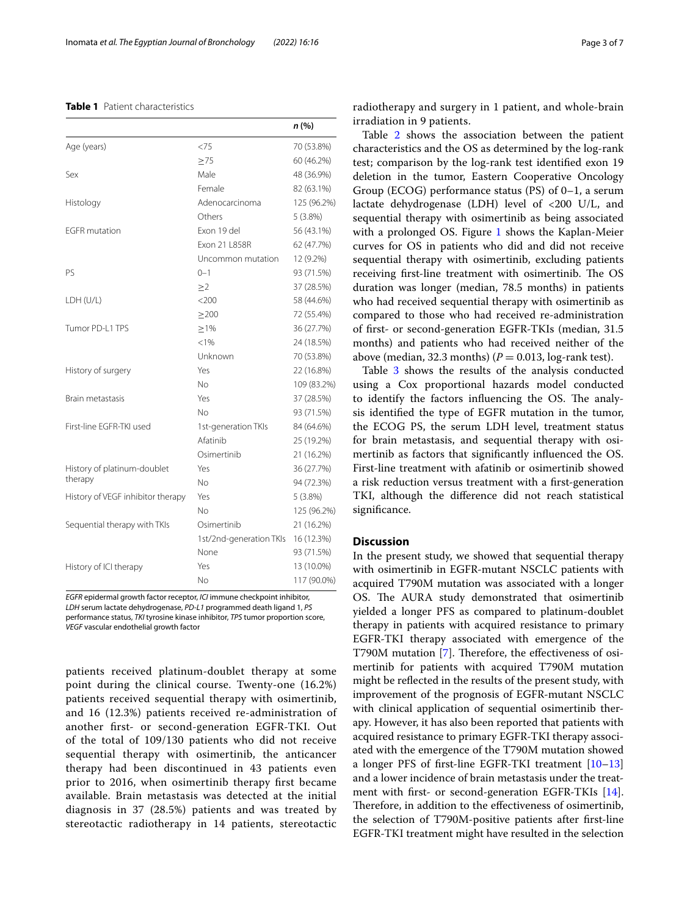#### <span id="page-2-0"></span>**Table 1** Patient characteristics

|                                   |                         | n(%)        |
|-----------------------------------|-------------------------|-------------|
| Age (years)                       | <75                     | 70 (53.8%)  |
|                                   | $\geq 75$               | 60 (46.2%)  |
| Sex                               | Male                    | 48 (36.9%)  |
|                                   | Female                  | 82 (63.1%)  |
| Histology                         | Adenocarcinoma          | 125 (96.2%) |
|                                   | Others                  | $5(3.8\%)$  |
| <b>EGFR</b> mutation              | Exon 19 del             | 56 (43.1%)  |
|                                   | Exon 21 L858R           | 62 (47.7%)  |
|                                   | Uncommon mutation       | 12 (9.2%)   |
| PS                                | $0 - 1$                 | 93 (71.5%)  |
|                                   | $\geq$ 2                | 37 (28.5%)  |
| LDH (U/L)                         | $<$ 200                 | 58 (44.6%)  |
|                                   | >200                    | 72 (55.4%)  |
| Tumor PD-L1 TPS                   | >1%                     | 36 (27.7%)  |
|                                   | < 1%                    | 24 (18.5%)  |
|                                   | Unknown                 | 70 (53.8%)  |
| History of surgery                | Yes                     | 22 (16.8%)  |
|                                   | No                      | 109 (83.2%) |
| <b>Brain metastasis</b>           | Yes                     | 37 (28.5%)  |
|                                   | No                      | 93 (71.5%)  |
| First-line FGFR-TKI used          | 1st-generation TKIs     | 84 (64.6%)  |
|                                   | Afatinib                | 25 (19.2%)  |
|                                   | Osimertinib             | 21 (16.2%)  |
| History of platinum-doublet       | Yes                     | 36 (27.7%)  |
| therapy                           | Nο                      | 94 (72.3%)  |
| History of VEGF inhibitor therapy | Yes                     | $5(3.8\%)$  |
|                                   | Nο                      | 125 (96.2%) |
| Sequential therapy with TKIs      | Osimertinib             | 21 (16.2%)  |
|                                   | 1st/2nd-generation TKIs | 16 (12.3%)  |
|                                   | None                    | 93 (71.5%)  |
| History of ICI therapy            | Yes                     | 13 (10.0%)  |
|                                   | N <sub>o</sub>          | 117 (90.0%) |

*EGFR* epidermal growth factor receptor, *ICI* immune checkpoint inhibitor, *LDH* serum lactate dehydrogenase, *PD-L1* programmed death ligand 1, *PS* performance status, *TKI* tyrosine kinase inhibitor, *TPS* tumor proportion score, *VEGF* vascular endothelial growth factor

patients received platinum-doublet therapy at some point during the clinical course. Twenty-one (16.2%) patients received sequential therapy with osimertinib, and 16 (12.3%) patients received re-administration of another frst- or second-generation EGFR-TKI. Out of the total of 109/130 patients who did not receive sequential therapy with osimertinib, the anticancer therapy had been discontinued in 43 patients even prior to 2016, when osimertinib therapy frst became available. Brain metastasis was detected at the initial diagnosis in 37 (28.5%) patients and was treated by stereotactic radiotherapy in 14 patients, stereotactic radiotherapy and surgery in 1 patient, and whole-brain irradiation in 9 patients.

Table [2](#page-3-0) shows the association between the patient characteristics and the OS as determined by the log-rank test; comparison by the log-rank test identifed exon 19 deletion in the tumor, Eastern Cooperative Oncology Group (ECOG) performance status (PS) of 0–1, a serum lactate dehydrogenase (LDH) level of <200 U/L, and sequential therapy with osimertinib as being associated with a prolonged OS. Figure [1](#page-4-0) shows the Kaplan-Meier curves for OS in patients who did and did not receive sequential therapy with osimertinib, excluding patients receiving first-line treatment with osimertinib. The OS duration was longer (median, 78.5 months) in patients who had received sequential therapy with osimertinib as compared to those who had received re-administration of frst- or second-generation EGFR-TKIs (median, 31.5 months) and patients who had received neither of the above (median, 32.3 months)  $(P = 0.013, \log{\}$ -rank test).

Table [3](#page-4-1) shows the results of the analysis conducted using a Cox proportional hazards model conducted to identify the factors influencing the OS. The analysis identifed the type of EGFR mutation in the tumor, the ECOG PS, the serum LDH level, treatment status for brain metastasis, and sequential therapy with osimertinib as factors that signifcantly infuenced the OS. First-line treatment with afatinib or osimertinib showed a risk reduction versus treatment with a frst-generation TKI, although the diference did not reach statistical signifcance.

## **Discussion**

In the present study, we showed that sequential therapy with osimertinib in EGFR-mutant NSCLC patients with acquired T790M mutation was associated with a longer OS. The AURA study demonstrated that osimertinib yielded a longer PFS as compared to platinum-doublet therapy in patients with acquired resistance to primary EGFR-TKI therapy associated with emergence of the T790M mutation [\[7](#page-5-6)]. Therefore, the effectiveness of osimertinib for patients with acquired T790M mutation might be refected in the results of the present study, with improvement of the prognosis of EGFR-mutant NSCLC with clinical application of sequential osimertinib therapy. However, it has also been reported that patients with acquired resistance to primary EGFR-TKI therapy associated with the emergence of the T790M mutation showed a longer PFS of frst-line EGFR-TKI treatment [[10–](#page-6-0)[13](#page-6-1)] and a lower incidence of brain metastasis under the treat-ment with first- or second-generation EGFR-TKIs [\[14](#page-6-2)]. Therefore, in addition to the effectiveness of osimertinib, the selection of T790M-positive patients after frst-line EGFR-TKI treatment might have resulted in the selection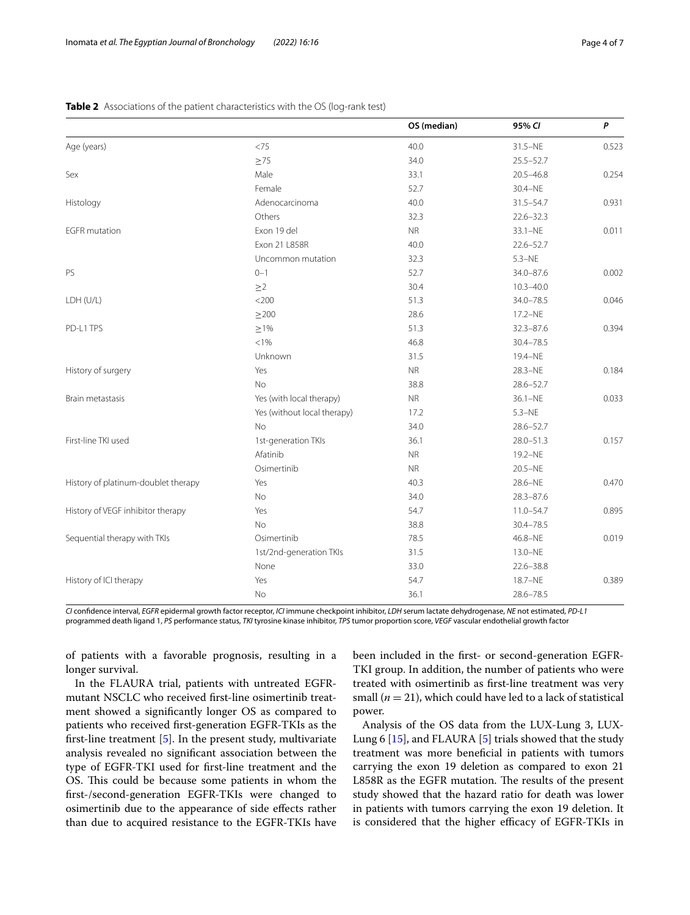|                                     |                             | OS (median) | 95% CI        | $\mathsf{P}$ |
|-------------------------------------|-----------------------------|-------------|---------------|--------------|
| Age (years)                         | <75                         | 40.0        | $31.5-NE$     | 0.523        |
|                                     | $\geq 75$                   | 34.0        | $25.5 - 52.7$ |              |
| Sex                                 | Male                        | 33.1        | $20.5 - 46.8$ | 0.254        |
|                                     | Female                      | 52.7        | 30.4-NE       |              |
| Histology                           | Adenocarcinoma              | 40.0        | $31.5 - 54.7$ | 0.931        |
|                                     | Others                      | 32.3        | $22.6 - 32.3$ |              |
| <b>EGFR</b> mutation                | Exon 19 del                 | <b>NR</b>   | $33.1 - NE$   | 0.011        |
|                                     | Exon 21 L858R               | 40.0        | $22.6 - 52.7$ |              |
|                                     | Uncommon mutation           | 32.3        | $5.3 - NE$    |              |
| PS                                  | $0 - 1$                     | 52.7        | 34.0-87.6     | 0.002        |
|                                     | $\geq$ 2                    | 30.4        | $10.3 - 40.0$ |              |
| LDH (U/L)                           | $<$ 200                     | 51.3        | $34.0 - 78.5$ | 0.046        |
|                                     | $\geq$ 200                  | 28.6        | 17.2-NE       |              |
| PD-L1 TPS                           | $\geq$ 1%                   | 51.3        | $32.3 - 87.6$ | 0.394        |
|                                     | < 1%                        | 46.8        | $30.4 - 78.5$ |              |
|                                     | Unknown                     | 31.5        | 19.4-NE       |              |
| History of surgery                  | Yes                         | <b>NR</b>   | 28.3-NE       | 0.184        |
|                                     | <b>No</b>                   | 38.8        | $28.6 - 52.7$ |              |
| Brain metastasis                    | Yes (with local therapy)    | <b>NR</b>   | $36.1 - NE$   | 0.033        |
|                                     | Yes (without local therapy) | 17.2        | $5.3-NE$      |              |
|                                     | No                          | 34.0        | $28.6 - 52.7$ |              |
| First-line TKI used                 | 1st-generation TKIs         | 36.1        | $28.0 - 51.3$ | 0.157        |
|                                     | Afatinib                    | <b>NR</b>   | 19.2-NE       |              |
|                                     | Osimertinib                 | <b>NR</b>   | $20.5 - NE$   |              |
| History of platinum-doublet therapy | Yes                         | 40.3        | 28.6-NE       | 0.470        |
|                                     | <b>No</b>                   | 34.0        | $28.3 - 87.6$ |              |
| History of VEGF inhibitor therapy   | Yes                         | 54.7        | $11.0 - 54.7$ | 0.895        |
|                                     | No                          | 38.8        | $30.4 - 78.5$ |              |
| Sequential therapy with TKIs        | Osimertinib                 | 78.5        | 46.8-NE       | 0.019        |
|                                     | 1st/2nd-generation TKIs     | 31.5        | 13.0-NE       |              |
|                                     | None                        | 33.0        | $22.6 - 38.8$ |              |
| History of ICI therapy              | Yes                         | 54.7        | 18.7-NE       | 0.389        |
|                                     | No                          | 36.1        | $28.6 - 78.5$ |              |

## <span id="page-3-0"></span>**Table 2** Associations of the patient characteristics with the OS (log-rank test)

*CI* confdence interval, *EGFR* epidermal growth factor receptor, *ICI* immune checkpoint inhibitor, *LDH* serum lactate dehydrogenase, *NE* not estimated, *PD-L1* programmed death ligand 1, *PS* performance status, *TKI* tyrosine kinase inhibitor, *TPS* tumor proportion score, *VEGF* vascular endothelial growth factor

of patients with a favorable prognosis, resulting in a longer survival.

In the FLAURA trial, patients with untreated EGFRmutant NSCLC who received frst-line osimertinib treatment showed a signifcantly longer OS as compared to patients who received frst-generation EGFR-TKIs as the frst-line treatment [[5](#page-5-4)]. In the present study, multivariate analysis revealed no signifcant association between the type of EGFR-TKI used for frst-line treatment and the OS. This could be because some patients in whom the frst-/second-generation EGFR-TKIs were changed to osimertinib due to the appearance of side efects rather than due to acquired resistance to the EGFR-TKIs have been included in the frst- or second-generation EGFR-TKI group. In addition, the number of patients who were treated with osimertinib as frst-line treatment was very small  $(n = 21)$ , which could have led to a lack of statistical power.

Analysis of the OS data from the LUX-Lung 3, LUX-Lung 6 [\[15\]](#page-6-3), and FLAURA [[5](#page-5-4)] trials showed that the study treatment was more benefcial in patients with tumors carrying the exon 19 deletion as compared to exon 21 L858R as the EGFR mutation. The results of the present study showed that the hazard ratio for death was lower in patients with tumors carrying the exon 19 deletion. It is considered that the higher efficacy of EGFR-TKIs in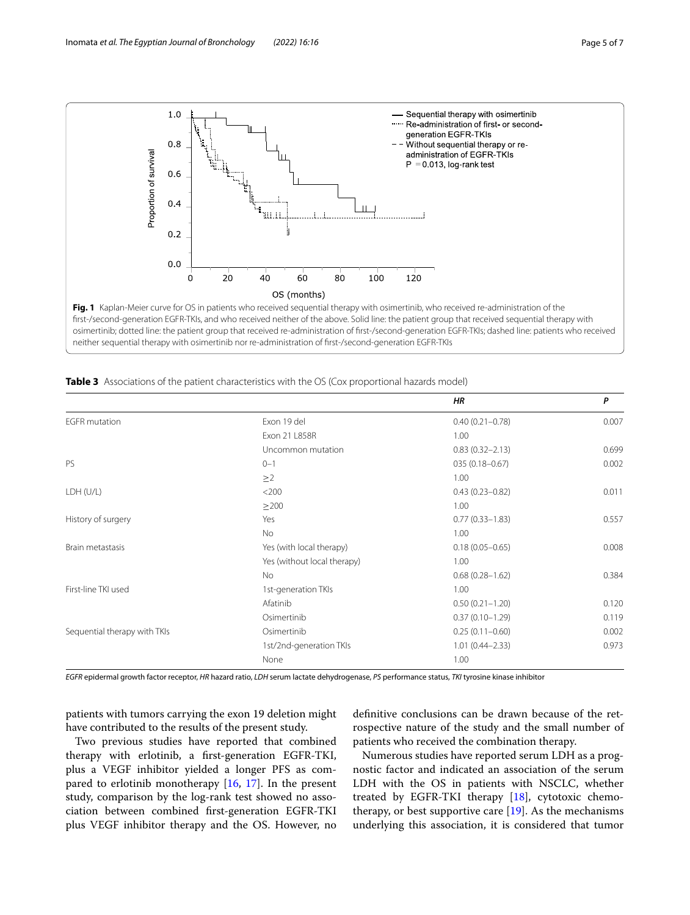

|                              |                             | <b>HR</b>           | P     |
|------------------------------|-----------------------------|---------------------|-------|
| <b>EGFR</b> mutation         | Exon 19 del                 | $0.40(0.21 - 0.78)$ | 0.007 |
|                              | Exon 21 L858R               | 1.00                |       |
|                              | Uncommon mutation           | $0.83(0.32 - 2.13)$ | 0.699 |
| PS                           | $0 - 1$                     | 035 (0.18-0.67)     | 0.002 |
|                              | $\geq$ 2                    | 1.00                |       |
| LDH (U/L)                    | $<$ 200                     | $0.43(0.23 - 0.82)$ | 0.011 |
|                              | $\geq$ 200                  | 1.00                |       |
| History of surgery           | Yes                         | $0.77(0.33 - 1.83)$ | 0.557 |
|                              | No                          | 1.00                |       |
| Brain metastasis             | Yes (with local therapy)    | $0.18(0.05 - 0.65)$ | 0.008 |
|                              | Yes (without local therapy) | 1.00                |       |
|                              | <b>No</b>                   | $0.68(0.28 - 1.62)$ | 0.384 |
| First-line TKI used          | 1st-generation TKIs         | 1.00                |       |
|                              | Afatinib                    | $0.50(0.21 - 1.20)$ | 0.120 |
|                              | Osimertinib                 | $0.37(0.10 - 1.29)$ | 0.119 |
| Sequential therapy with TKIs | Osimertinib                 | $0.25(0.11 - 0.60)$ | 0.002 |
|                              | 1st/2nd-generation TKIs     | $1.01(0.44 - 2.33)$ | 0.973 |
|                              | None                        | 1.00                |       |

<span id="page-4-1"></span><span id="page-4-0"></span>**Table <b>3** Associations of the patient characteristics with the OS (Cox proportional hazards model)

*EGFR* epidermal growth factor receptor, *HR* hazard ratio, *LDH* serum lactate dehydrogenase, *PS* performance status, *TKI* tyrosine kinase inhibitor

patients with tumors carrying the exon 19 deletion might have contributed to the results of the present study.

Two previous studies have reported that combined therapy with erlotinib, a frst-generation EGFR-TKI, plus a VEGF inhibitor yielded a longer PFS as compared to erlotinib monotherapy  $[16, 17]$  $[16, 17]$  $[16, 17]$ . In the present study, comparison by the log-rank test showed no association between combined frst-generation EGFR-TKI plus VEGF inhibitor therapy and the OS. However, no

defnitive conclusions can be drawn because of the retrospective nature of the study and the small number of patients who received the combination therapy.

Numerous studies have reported serum LDH as a prognostic factor and indicated an association of the serum LDH with the OS in patients with NSCLC, whether treated by EGFR-TKI therapy [\[18](#page-6-6)], cytotoxic chemotherapy, or best supportive care  $[19]$  $[19]$ . As the mechanisms underlying this association, it is considered that tumor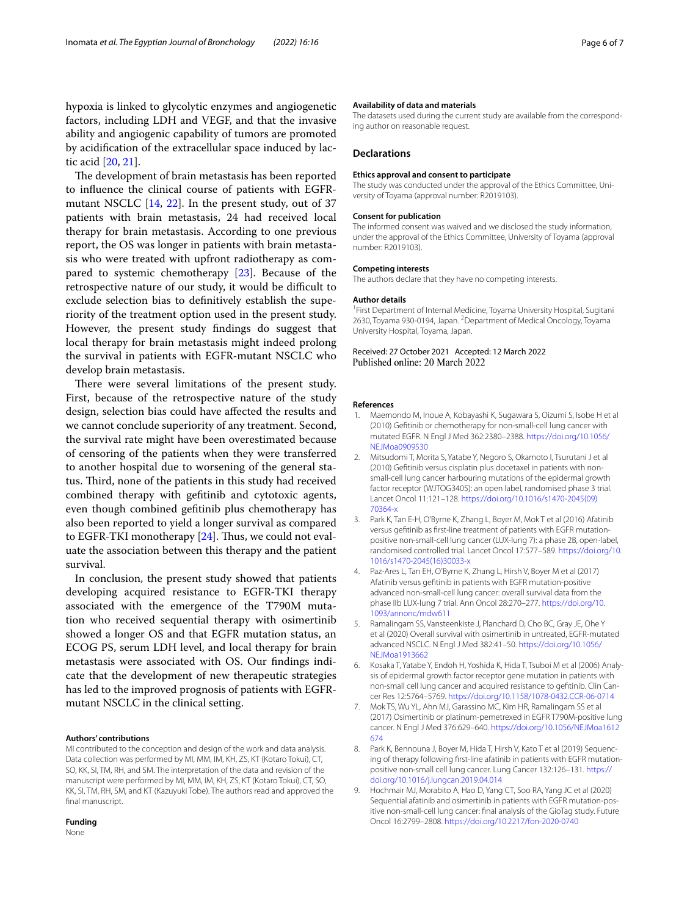hypoxia is linked to glycolytic enzymes and angiogenetic factors, including LDH and VEGF, and that the invasive ability and angiogenic capability of tumors are promoted by acidifcation of the extracellular space induced by lactic acid [[20,](#page-6-8) [21\]](#page-6-9).

The development of brain metastasis has been reported to infuence the clinical course of patients with EGFRmutant NSCLC [\[14](#page-6-2), [22\]](#page-6-10). In the present study, out of 37 patients with brain metastasis, 24 had received local therapy for brain metastasis. According to one previous report, the OS was longer in patients with brain metastasis who were treated with upfront radiotherapy as compared to systemic chemotherapy [[23](#page-6-11)]. Because of the retrospective nature of our study, it would be difficult to exclude selection bias to defnitively establish the superiority of the treatment option used in the present study. However, the present study fndings do suggest that local therapy for brain metastasis might indeed prolong the survival in patients with EGFR-mutant NSCLC who develop brain metastasis.

There were several limitations of the present study. First, because of the retrospective nature of the study design, selection bias could have afected the results and we cannot conclude superiority of any treatment. Second, the survival rate might have been overestimated because of censoring of the patients when they were transferred to another hospital due to worsening of the general status. Third, none of the patients in this study had received combined therapy with geftinib and cytotoxic agents, even though combined geftinib plus chemotherapy has also been reported to yield a longer survival as compared to EGFR-TKI monotherapy  $[24]$  $[24]$  $[24]$ . Thus, we could not evaluate the association between this therapy and the patient survival.

In conclusion, the present study showed that patients developing acquired resistance to EGFR-TKI therapy associated with the emergence of the T790M mutation who received sequential therapy with osimertinib showed a longer OS and that EGFR mutation status, an ECOG PS, serum LDH level, and local therapy for brain metastasis were associated with OS. Our fndings indicate that the development of new therapeutic strategies has led to the improved prognosis of patients with EGFRmutant NSCLC in the clinical setting.

#### **Authors' contributions**

MI contributed to the conception and design of the work and data analysis. Data collection was performed by MI, MM, IM, KH, ZS, KT (Kotaro Tokui), CT, SO, KK, SI, TM, RH, and SM. The interpretation of the data and revision of the manuscript were performed by MI, MM, IM, KH, ZS, KT (Kotaro Tokui), CT, SO, KK, SI, TM, RH, SM, and KT (Kazuyuki Tobe). The authors read and approved the final manuscript.

# **Funding**

None

#### **Availability of data and materials**

The datasets used during the current study are available from the corresponding author on reasonable request.

#### **Declarations**

#### **Ethics approval and consent to participate**

The study was conducted under the approval of the Ethics Committee, University of Toyama (approval number: R2019103).

#### **Consent for publication**

The informed consent was waived and we disclosed the study information, under the approval of the Ethics Committee, University of Toyama (approval number: R2019103).

# **Competing interests**

The authors declare that they have no competing interests.

#### **Author details**

<sup>1</sup> First Department of Internal Medicine, Toyama University Hospital, Sugitani 2630, Toyama 930-0194, Japan. <sup>2</sup> Department of Medical Oncology, Toyama University Hospital, Toyama, Japan.

### Received: 27 October 2021 Accepted: 12 March 2022 Published online: 20 March 2022

#### **References**

- <span id="page-5-0"></span>1. Maemondo M, Inoue A, Kobayashi K, Sugawara S, Oizumi S, Isobe H et al (2010) Geftinib or chemotherapy for non-small-cell lung cancer with mutated EGFR. N Engl J Med 362:2380–2388. [https://doi.org/10.1056/](https://doi.org/10.1056/NEJMoa0909530) NE IMoa0909530
- <span id="page-5-1"></span>2. Mitsudomi T, Morita S, Yatabe Y, Negoro S, Okamoto I, Tsurutani J et al (2010) Geftinib versus cisplatin plus docetaxel in patients with nonsmall-cell lung cancer harbouring mutations of the epidermal growth factor receptor (WJTOG3405): an open label, randomised phase 3 trial. Lancet Oncol 11:121–128. [https://doi.org/10.1016/s1470-2045\(09\)](https://doi.org/10.1016/s1470-2045(09)70364-x) [70364-x](https://doi.org/10.1016/s1470-2045(09)70364-x)
- <span id="page-5-2"></span>3. Park K, Tan E-H, O'Byrne K, Zhang L, Boyer M, Mok T et al (2016) Afatinib versus geftinib as frst-line treatment of patients with EGFR mutationpositive non-small-cell lung cancer (LUX-lung 7): a phase 2B, open-label, randomised controlled trial. Lancet Oncol 17:577–589. [https://doi.org/10.](https://doi.org/10.1016/s1470-2045(16)30033-x) [1016/s1470-2045\(16\)30033-x](https://doi.org/10.1016/s1470-2045(16)30033-x)
- <span id="page-5-3"></span>4. Paz-Ares L, Tan EH, O'Byrne K, Zhang L, Hirsh V, Boyer M et al (2017) Afatinib versus geftinib in patients with EGFR mutation-positive advanced non-small-cell lung cancer: overall survival data from the phase IIb LUX-lung 7 trial. Ann Oncol 28:270–277. [https://doi.org/10.](https://doi.org/10.1093/annonc/mdw611) [1093/annonc/mdw611](https://doi.org/10.1093/annonc/mdw611)
- <span id="page-5-4"></span>5. Ramalingam SS, Vansteenkiste J, Planchard D, Cho BC, Gray JE, Ohe Y et al (2020) Overall survival with osimertinib in untreated, EGFR-mutated advanced NSCLC. N Engl J Med 382:41–50. [https://doi.org/10.1056/](https://doi.org/10.1056/NEJMoa1913662) [NEJMoa1913662](https://doi.org/10.1056/NEJMoa1913662)
- <span id="page-5-5"></span>6. Kosaka T, Yatabe Y, Endoh H, Yoshida K, Hida T, Tsuboi M et al (2006) Analysis of epidermal growth factor receptor gene mutation in patients with non-small cell lung cancer and acquired resistance to geftinib. Clin Cancer Res 12:5764–5769.<https://doi.org/10.1158/1078-0432.CCR-06-0714>
- <span id="page-5-6"></span>7. Mok TS, Wu YL, Ahn MJ, Garassino MC, Kim HR, Ramalingam SS et al (2017) Osimertinib or platinum-pemetrexed in EGFR T790M-positive lung cancer. N Engl J Med 376:629–640. [https://doi.org/10.1056/NEJMoa1612](https://doi.org/10.1056/NEJMoa1612674) [674](https://doi.org/10.1056/NEJMoa1612674)
- <span id="page-5-7"></span>8. Park K, Bennouna J, Boyer M, Hida T, Hirsh V, Kato T et al (2019) Sequencing of therapy following frst-line afatinib in patients with EGFR mutationpositive non-small cell lung cancer. Lung Cancer 132:126–131. [https://](https://doi.org/10.1016/j.lungcan.2019.04.014) [doi.org/10.1016/j.lungcan.2019.04.014](https://doi.org/10.1016/j.lungcan.2019.04.014)
- <span id="page-5-8"></span>9. Hochmair MJ, Morabito A, Hao D, Yang CT, Soo RA, Yang JC et al (2020) Sequential afatinib and osimertinib in patients with EGFR mutation-positive non-small-cell lung cancer: fnal analysis of the GioTag study. Future Oncol 16:2799–2808. <https://doi.org/10.2217/fon-2020-0740>